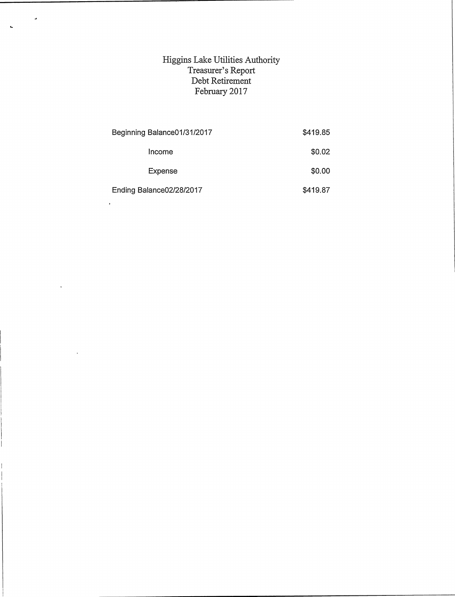## Higgins Lake Utilities Authority Treasurer's Report Debt Retirement February 2017

 $\ddot{\phantom{0}}$ 

 $\ddot{\phantom{a}}$ 

| Beginning Balance01/31/2017 | \$419.85 |
|-----------------------------|----------|
| Income                      | \$0.02   |
| Expense                     | \$0.00   |
| Ending Balance02/28/2017    | \$419.87 |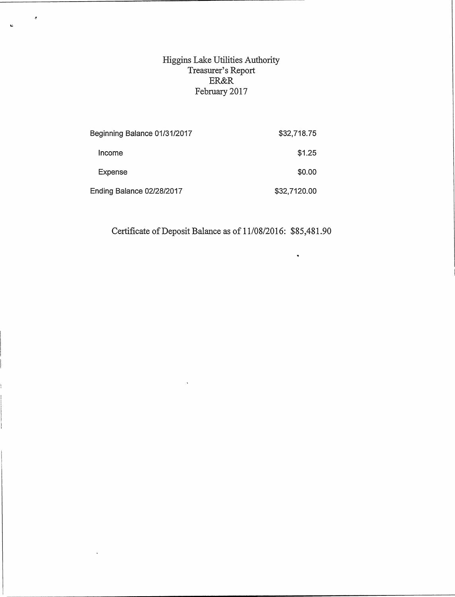## Higgins Lake Utilities Authority Treasurer's Report ER&R February 2017

 $\ddot{\cdot}$ 

 $\ddot{\phantom{a}}$ 

 $\Delta$ 

| Beginning Balance 01/31/2017 | \$32,718.75  |
|------------------------------|--------------|
| Income                       | \$1.25       |
| Expense                      | \$0.00       |
| Ending Balance 02/28/2017    | \$32,7120.00 |

Certificate of Deposit Balance as of 11/08/2016: \$85,481.90

 $\ddot{\phantom{1}}$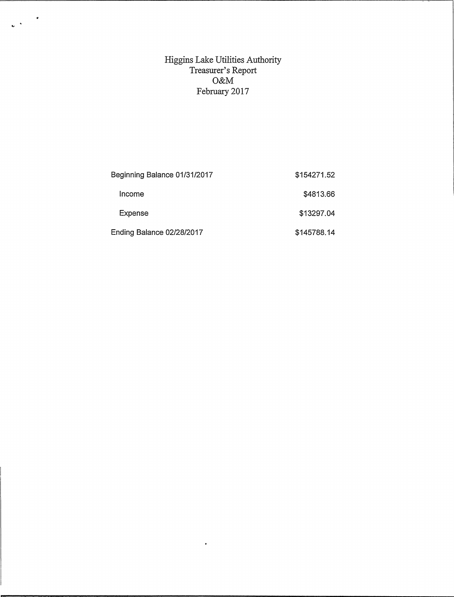Higgins Lake Utilities Authority Treasurer's Report O&M February2017

 $\frac{1}{2} \frac{1}{2} \frac{1}{2} \frac{1}{2} \frac{1}{2} \frac{1}{2} \frac{1}{2} \frac{1}{2} \frac{1}{2} \frac{1}{2} \frac{1}{2} \frac{1}{2} \frac{1}{2} \frac{1}{2} \frac{1}{2} \frac{1}{2} \frac{1}{2} \frac{1}{2} \frac{1}{2} \frac{1}{2} \frac{1}{2} \frac{1}{2} \frac{1}{2} \frac{1}{2} \frac{1}{2} \frac{1}{2} \frac{1}{2} \frac{1}{2} \frac{1}{2} \frac{1}{2} \frac{1}{2} \frac{$ 

| Beginning Balance 01/31/2017 | \$154271.52 |
|------------------------------|-------------|
| Income                       | \$4813.66   |
| Expense                      | \$13297.04  |
| Ending Balance 02/28/2017    | \$145788.14 |

 $\ddot{\phantom{a}}$